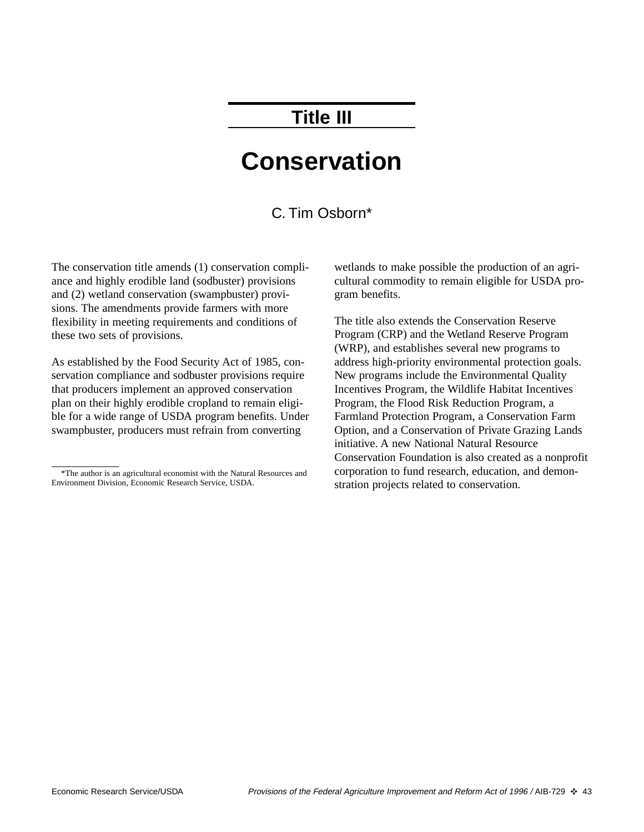# **Title III**

# **Conservation**

## C. Tim Osborn\*

The conservation title amends (1) conservation compliance and highly erodible land (sodbuster) provisions and (2) wetland conservation (swampbuster) provisions. The amendments provide farmers with more flexibility in meeting requirements and conditions of these two sets of provisions.

As established by the Food Security Act of 1985, conservation compliance and sodbuster provisions require that producers implement an approved conservation plan on their highly erodible cropland to remain eligible for a wide range of USDA program benefits. Under swampbuster, producers must refrain from converting

wetlands to make possible the production of an agricultural commodity to remain eligible for USDA program benefits.

The title also extends the Conservation Reserve Program (CRP) and the Wetland Reserve Program (WRP), and establishes several new programs to address high-priority environmental protection goals. New programs include the Environmental Quality Incentives Program, the Wildlife Habitat Incentives Program, the Flood Risk Reduction Program, a Farmland Protection Program, a Conservation Farm Option, and a Conservation of Private Grazing Lands initiative. A new National Natural Resource Conservation Foundation is also created as a nonprofit corporation to fund research, education, and demonstration projects related to conservation.

<sup>\*</sup>The author is an agricultural economist with the Natural Resources and Environment Division, Economic Research Service, USDA.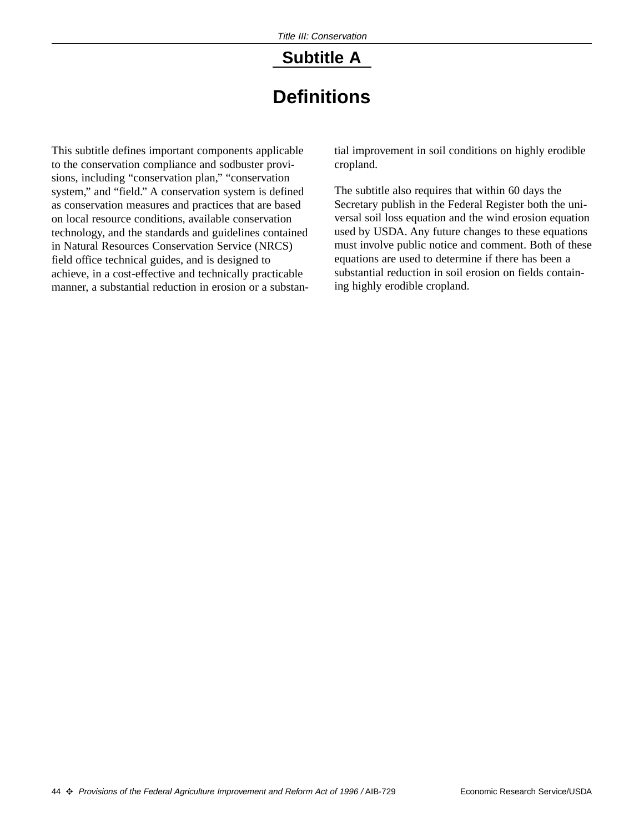# **Subtitle A**

# **Definitions**

This subtitle defines important components applicable to the conservation compliance and sodbuster provisions, including "conservation plan," "conservation system," and "field." A conservation system is defined as conservation measures and practices that are based on local resource conditions, available conservation technology, and the standards and guidelines contained in Natural Resources Conservation Service (NRCS) field office technical guides, and is designed to achieve, in a cost-effective and technically practicable manner, a substantial reduction in erosion or a substan-

tial improvement in soil conditions on highly erodible cropland.

The subtitle also requires that within 60 days the Secretary publish in the Federal Register both the universal soil loss equation and the wind erosion equation used by USDA. Any future changes to these equations must involve public notice and comment. Both of these equations are used to determine if there has been a substantial reduction in soil erosion on fields containing highly erodible cropland.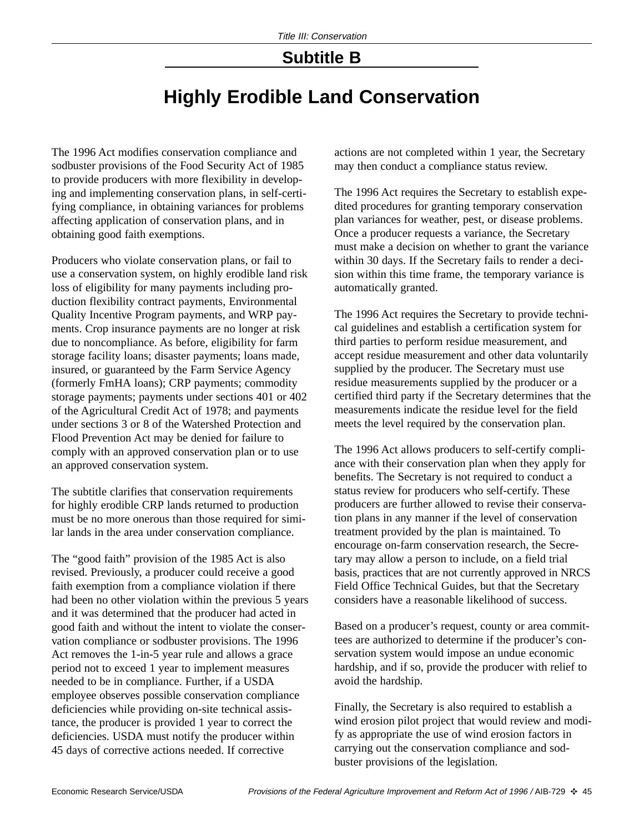## **Subtitle B**

# **Highly Erodible Land Conservation**

The 1996 Act modifies conservation compliance and sodbuster provisions of the Food Security Act of 1985 to provide producers with more flexibility in developing and implementing conservation plans, in self-certifying compliance, in obtaining variances for problems affecting application of conservation plans, and in obtaining good faith exemptions.

Producers who violate conservation plans, or fail to use a conservation system, on highly erodible land risk loss of eligibility for many payments including production flexibility contract payments, Environmental Quality Incentive Program payments, and WRP payments. Crop insurance payments are no longer at risk due to noncompliance. As before, eligibility for farm storage facility loans; disaster payments; loans made, insured, or guaranteed by the Farm Service Agency (formerly FmHA loans); CRP payments; commodity storage payments; payments under sections 401 or 402 of the Agricultural Credit Act of 1978; and payments under sections 3 or 8 of the Watershed Protection and Flood Prevention Act may be denied for failure to comply with an approved conservation plan or to use an approved conservation system.

The subtitle clarifies that conservation requirements for highly erodible CRP lands returned to production must be no more onerous than those required for similar lands in the area under conservation compliance.

The "good faith" provision of the 1985 Act is also revised. Previously, a producer could receive a good faith exemption from a compliance violation if there had been no other violation within the previous 5 years and it was determined that the producer had acted in good faith and without the intent to violate the conservation compliance or sodbuster provisions. The 1996 Act removes the 1-in-5 year rule and allows a grace period not to exceed 1 year to implement measures needed to be in compliance. Further, if a USDA employee observes possible conservation compliance deficiencies while providing on-site technical assistance, the producer is provided 1 year to correct the deficiencies. USDA must notify the producer within 45 days of corrective actions needed. If corrective

actions are not completed within 1 year, the Secretary may then conduct a compliance status review.

The 1996 Act requires the Secretary to establish expedited procedures for granting temporary conservation plan variances for weather, pest, or disease problems. Once a producer requests a variance, the Secretary must make a decision on whether to grant the variance within 30 days. If the Secretary fails to render a decision within this time frame, the temporary variance is automatically granted.

The 1996 Act requires the Secretary to provide technical guidelines and establish a certification system for third parties to perform residue measurement, and accept residue measurement and other data voluntarily supplied by the producer. The Secretary must use residue measurements supplied by the producer or a certified third party if the Secretary determines that the measurements indicate the residue level for the field meets the level required by the conservation plan.

The 1996 Act allows producers to self-certify compliance with their conservation plan when they apply for benefits. The Secretary is not required to conduct a status review for producers who self-certify. These producers are further allowed to revise their conservation plans in any manner if the level of conservation treatment provided by the plan is maintained. To encourage on-farm conservation research, the Secretary may allow a person to include, on a field trial basis, practices that are not currently approved in NRCS Field Office Technical Guides, but that the Secretary considers have a reasonable likelihood of success.

Based on a producer's request, county or area committees are authorized to determine if the producer's conservation system would impose an undue economic hardship, and if so, provide the producer with relief to avoid the hardship.

Finally, the Secretary is also required to establish a wind erosion pilot project that would review and modify as appropriate the use of wind erosion factors in carrying out the conservation compliance and sodbuster provisions of the legislation.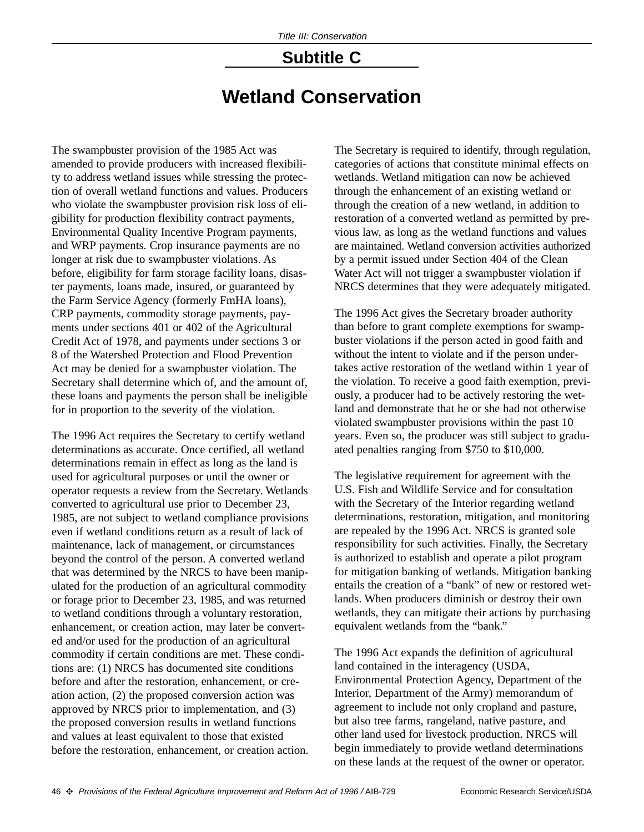# **Subtitle C**

# **Wetland Conservation**

The swampbuster provision of the 1985 Act was amended to provide producers with increased flexibility to address wetland issues while stressing the protection of overall wetland functions and values. Producers who violate the swampbuster provision risk loss of eligibility for production flexibility contract payments, Environmental Quality Incentive Program payments, and WRP payments. Crop insurance payments are no longer at risk due to swampbuster violations. As before, eligibility for farm storage facility loans, disaster payments, loans made, insured, or guaranteed by the Farm Service Agency (formerly FmHA loans), CRP payments, commodity storage payments, payments under sections 401 or 402 of the Agricultural Credit Act of 1978, and payments under sections 3 or 8 of the Watershed Protection and Flood Prevention Act may be denied for a swampbuster violation. The Secretary shall determine which of, and the amount of, these loans and payments the person shall be ineligible for in proportion to the severity of the violation.

The 1996 Act requires the Secretary to certify wetland determinations as accurate. Once certified, all wetland determinations remain in effect as long as the land is used for agricultural purposes or until the owner or operator requests a review from the Secretary. Wetlands converted to agricultural use prior to December 23, 1985, are not subject to wetland compliance provisions even if wetland conditions return as a result of lack of maintenance, lack of management, or circumstances beyond the control of the person. A converted wetland that was determined by the NRCS to have been manipulated for the production of an agricultural commodity or forage prior to December 23, 1985, and was returned to wetland conditions through a voluntary restoration, enhancement, or creation action, may later be converted and/or used for the production of an agricultural commodity if certain conditions are met. These conditions are: (1) NRCS has documented site conditions before and after the restoration, enhancement, or creation action, (2) the proposed conversion action was approved by NRCS prior to implementation, and (3) the proposed conversion results in wetland functions and values at least equivalent to those that existed before the restoration, enhancement, or creation action.

The Secretary is required to identify, through regulation, categories of actions that constitute minimal effects on wetlands. Wetland mitigation can now be achieved through the enhancement of an existing wetland or through the creation of a new wetland, in addition to restoration of a converted wetland as permitted by previous law, as long as the wetland functions and values are maintained. Wetland conversion activities authorized by a permit issued under Section 404 of the Clean Water Act will not trigger a swampbuster violation if NRCS determines that they were adequately mitigated.

The 1996 Act gives the Secretary broader authority than before to grant complete exemptions for swampbuster violations if the person acted in good faith and without the intent to violate and if the person undertakes active restoration of the wetland within 1 year of the violation. To receive a good faith exemption, previously, a producer had to be actively restoring the wetland and demonstrate that he or she had not otherwise violated swampbuster provisions within the past 10 years. Even so, the producer was still subject to graduated penalties ranging from \$750 to \$10,000.

The legislative requirement for agreement with the U.S. Fish and Wildlife Service and for consultation with the Secretary of the Interior regarding wetland determinations, restoration, mitigation, and monitoring are repealed by the 1996 Act. NRCS is granted sole responsibility for such activities. Finally, the Secretary is authorized to establish and operate a pilot program for mitigation banking of wetlands. Mitigation banking entails the creation of a "bank" of new or restored wetlands. When producers diminish or destroy their own wetlands, they can mitigate their actions by purchasing equivalent wetlands from the "bank."

The 1996 Act expands the definition of agricultural land contained in the interagency (USDA, Environmental Protection Agency, Department of the Interior, Department of the Army) memorandum of agreement to include not only cropland and pasture, but also tree farms, rangeland, native pasture, and other land used for livestock production. NRCS will begin immediately to provide wetland determinations on these lands at the request of the owner or operator.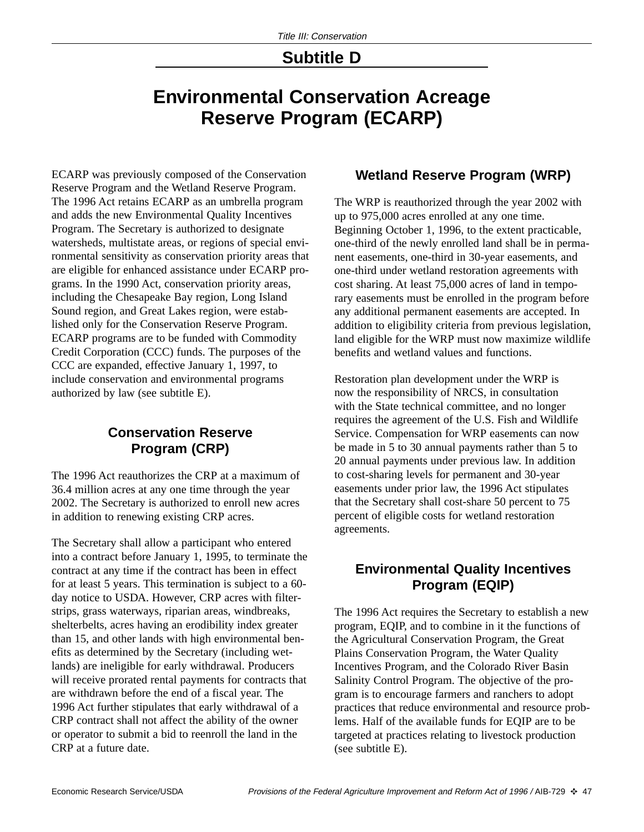## **Subtitle D**

# **Environmental Conservation Acreage Reserve Program (ECARP)**

ECARP was previously composed of the Conservation Reserve Program and the Wetland Reserve Program. The 1996 Act retains ECARP as an umbrella program and adds the new Environmental Quality Incentives Program. The Secretary is authorized to designate watersheds, multistate areas, or regions of special environmental sensitivity as conservation priority areas that are eligible for enhanced assistance under ECARP programs. In the 1990 Act, conservation priority areas, including the Chesapeake Bay region, Long Island Sound region, and Great Lakes region, were established only for the Conservation Reserve Program. ECARP programs are to be funded with Commodity Credit Corporation (CCC) funds. The purposes of the CCC are expanded, effective January 1, 1997, to include conservation and environmental programs authorized by law (see subtitle E).

## **Conservation Reserve Program (CRP)**

The 1996 Act reauthorizes the CRP at a maximum of 36.4 million acres at any one time through the year 2002. The Secretary is authorized to enroll new acres in addition to renewing existing CRP acres.

The Secretary shall allow a participant who entered into a contract before January 1, 1995, to terminate the contract at any time if the contract has been in effect for at least 5 years. This termination is subject to a 60 day notice to USDA. However, CRP acres with filterstrips, grass waterways, riparian areas, windbreaks, shelterbelts, acres having an erodibility index greater than 15, and other lands with high environmental benefits as determined by the Secretary (including wetlands) are ineligible for early withdrawal. Producers will receive prorated rental payments for contracts that are withdrawn before the end of a fiscal year. The 1996 Act further stipulates that early withdrawal of a CRP contract shall not affect the ability of the owner or operator to submit a bid to reenroll the land in the CRP at a future date.

## **Wetland Reserve Program (WRP)**

The WRP is reauthorized through the year 2002 with up to 975,000 acres enrolled at any one time. Beginning October 1, 1996, to the extent practicable, one-third of the newly enrolled land shall be in permanent easements, one-third in 30-year easements, and one-third under wetland restoration agreements with cost sharing. At least 75,000 acres of land in temporary easements must be enrolled in the program before any additional permanent easements are accepted. In addition to eligibility criteria from previous legislation, land eligible for the WRP must now maximize wildlife benefits and wetland values and functions.

Restoration plan development under the WRP is now the responsibility of NRCS, in consultation with the State technical committee, and no longer requires the agreement of the U.S. Fish and Wildlife Service. Compensation for WRP easements can now be made in 5 to 30 annual payments rather than 5 to 20 annual payments under previous law. In addition to cost-sharing levels for permanent and 30-year easements under prior law, the 1996 Act stipulates that the Secretary shall cost-share 50 percent to 75 percent of eligible costs for wetland restoration agreements.

## **Environmental Quality Incentives Program (EQIP)**

The 1996 Act requires the Secretary to establish a new program, EQIP, and to combine in it the functions of the Agricultural Conservation Program, the Great Plains Conservation Program, the Water Quality Incentives Program, and the Colorado River Basin Salinity Control Program. The objective of the program is to encourage farmers and ranchers to adopt practices that reduce environmental and resource problems. Half of the available funds for EQIP are to be targeted at practices relating to livestock production (see subtitle E).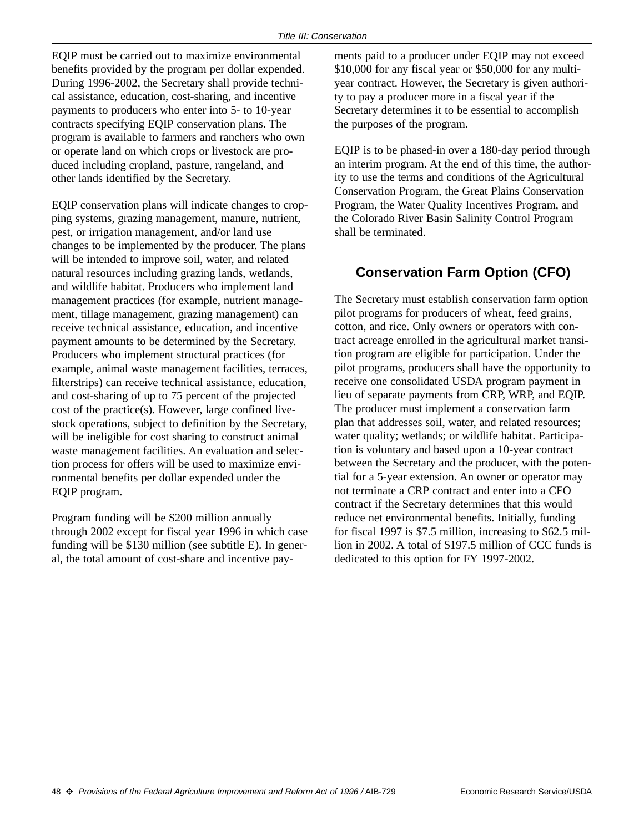EQIP must be carried out to maximize environmental benefits provided by the program per dollar expended. During 1996-2002, the Secretary shall provide technical assistance, education, cost-sharing, and incentive payments to producers who enter into 5- to 10-year contracts specifying EQIP conservation plans. The program is available to farmers and ranchers who own or operate land on which crops or livestock are produced including cropland, pasture, rangeland, and other lands identified by the Secretary.

EQIP conservation plans will indicate changes to cropping systems, grazing management, manure, nutrient, pest, or irrigation management, and/or land use changes to be implemented by the producer. The plans will be intended to improve soil, water, and related natural resources including grazing lands, wetlands, and wildlife habitat. Producers who implement land management practices (for example, nutrient management, tillage management, grazing management) can receive technical assistance, education, and incentive payment amounts to be determined by the Secretary. Producers who implement structural practices (for example, animal waste management facilities, terraces, filterstrips) can receive technical assistance, education, and cost-sharing of up to 75 percent of the projected cost of the practice(s). However, large confined livestock operations, subject to definition by the Secretary, will be ineligible for cost sharing to construct animal waste management facilities. An evaluation and selection process for offers will be used to maximize environmental benefits per dollar expended under the EQIP program.

Program funding will be \$200 million annually through 2002 except for fiscal year 1996 in which case funding will be \$130 million (see subtitle E). In general, the total amount of cost-share and incentive payments paid to a producer under EQIP may not exceed \$10,000 for any fiscal year or \$50,000 for any multiyear contract. However, the Secretary is given authority to pay a producer more in a fiscal year if the Secretary determines it to be essential to accomplish the purposes of the program.

EQIP is to be phased-in over a 180-day period through an interim program. At the end of this time, the authority to use the terms and conditions of the Agricultural Conservation Program, the Great Plains Conservation Program, the Water Quality Incentives Program, and the Colorado River Basin Salinity Control Program shall be terminated.

## **Conservation Farm Option (CFO)**

The Secretary must establish conservation farm option pilot programs for producers of wheat, feed grains, cotton, and rice. Only owners or operators with contract acreage enrolled in the agricultural market transition program are eligible for participation. Under the pilot programs, producers shall have the opportunity to receive one consolidated USDA program payment in lieu of separate payments from CRP, WRP, and EQIP. The producer must implement a conservation farm plan that addresses soil, water, and related resources; water quality; wetlands; or wildlife habitat. Participation is voluntary and based upon a 10-year contract between the Secretary and the producer, with the potential for a 5-year extension. An owner or operator may not terminate a CRP contract and enter into a CFO contract if the Secretary determines that this would reduce net environmental benefits. Initially, funding for fiscal 1997 is \$7.5 million, increasing to \$62.5 million in 2002. A total of \$197.5 million of CCC funds is dedicated to this option for FY 1997-2002.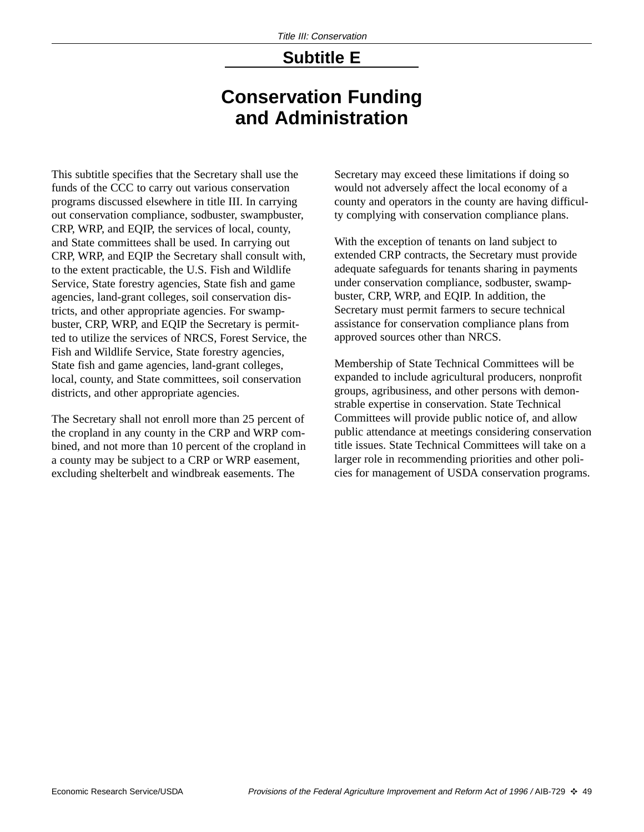## **Subtitle E**

# **Conservation Funding and Administration**

This subtitle specifies that the Secretary shall use the funds of the CCC to carry out various conservation programs discussed elsewhere in title III. In carrying out conservation compliance, sodbuster, swampbuster, CRP, WRP, and EQIP, the services of local, county, and State committees shall be used. In carrying out CRP, WRP, and EQIP the Secretary shall consult with, to the extent practicable, the U.S. Fish and Wildlife Service, State forestry agencies, State fish and game agencies, land-grant colleges, soil conservation districts, and other appropriate agencies. For swampbuster, CRP, WRP, and EQIP the Secretary is permitted to utilize the services of NRCS, Forest Service, the Fish and Wildlife Service, State forestry agencies, State fish and game agencies, land-grant colleges, local, county, and State committees, soil conservation districts, and other appropriate agencies.

The Secretary shall not enroll more than 25 percent of the cropland in any county in the CRP and WRP combined, and not more than 10 percent of the cropland in a county may be subject to a CRP or WRP easement, excluding shelterbelt and windbreak easements. The

Secretary may exceed these limitations if doing so would not adversely affect the local economy of a county and operators in the county are having difficulty complying with conservation compliance plans.

With the exception of tenants on land subject to extended CRP contracts, the Secretary must provide adequate safeguards for tenants sharing in payments under conservation compliance, sodbuster, swampbuster, CRP, WRP, and EQIP. In addition, the Secretary must permit farmers to secure technical assistance for conservation compliance plans from approved sources other than NRCS.

Membership of State Technical Committees will be expanded to include agricultural producers, nonprofit groups, agribusiness, and other persons with demonstrable expertise in conservation. State Technical Committees will provide public notice of, and allow public attendance at meetings considering conservation title issues. State Technical Committees will take on a larger role in recommending priorities and other policies for management of USDA conservation programs.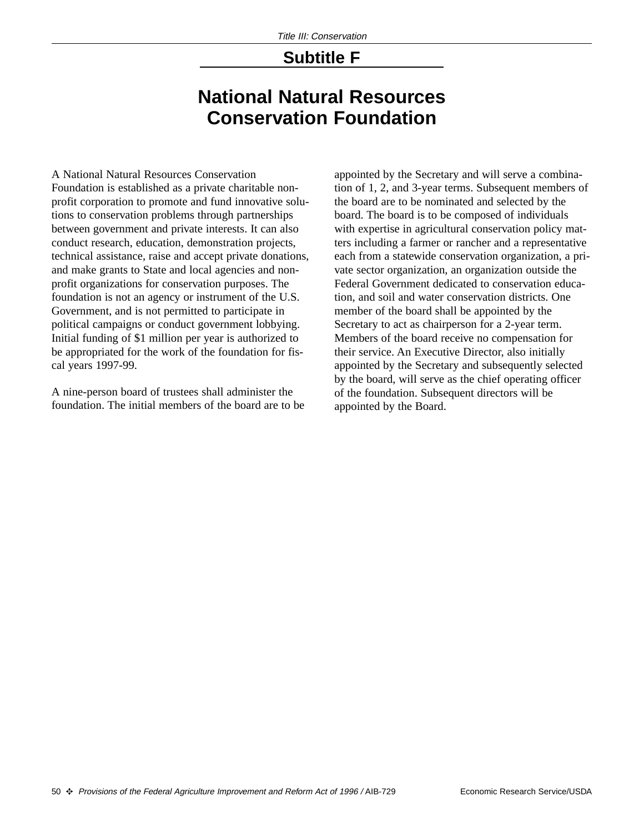## **Subtitle F**

# **National Natural Resources Conservation Foundation**

A National Natural Resources Conservation Foundation is established as a private charitable nonprofit corporation to promote and fund innovative solutions to conservation problems through partnerships between government and private interests. It can also conduct research, education, demonstration projects, technical assistance, raise and accept private donations, and make grants to State and local agencies and nonprofit organizations for conservation purposes. The foundation is not an agency or instrument of the U.S. Government, and is not permitted to participate in political campaigns or conduct government lobbying. Initial funding of \$1 million per year is authorized to be appropriated for the work of the foundation for fiscal years 1997-99.

A nine-person board of trustees shall administer the foundation. The initial members of the board are to be appointed by the Secretary and will serve a combination of 1, 2, and 3-year terms. Subsequent members of the board are to be nominated and selected by the board. The board is to be composed of individuals with expertise in agricultural conservation policy matters including a farmer or rancher and a representative each from a statewide conservation organization, a private sector organization, an organization outside the Federal Government dedicated to conservation education, and soil and water conservation districts. One member of the board shall be appointed by the Secretary to act as chairperson for a 2-year term. Members of the board receive no compensation for their service. An Executive Director, also initially appointed by the Secretary and subsequently selected by the board, will serve as the chief operating officer of the foundation. Subsequent directors will be appointed by the Board.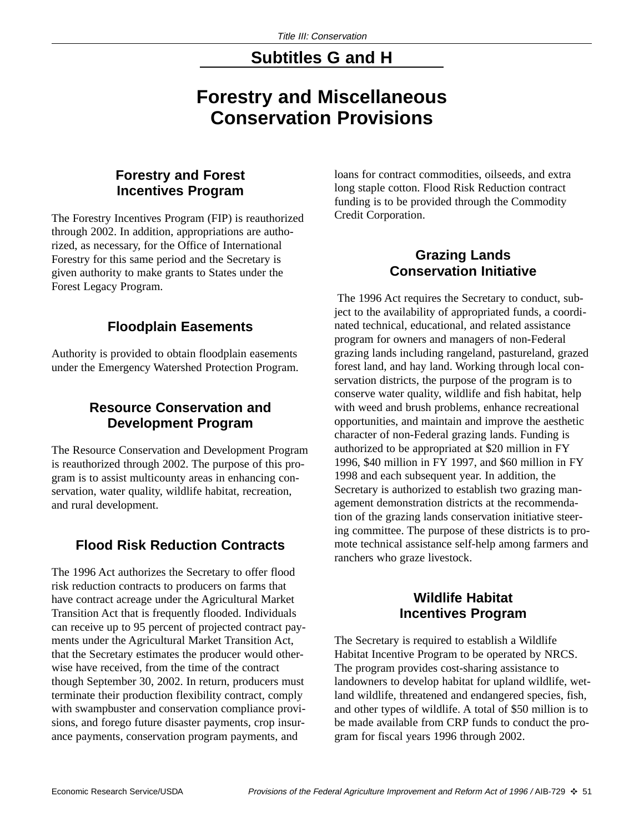## **Subtitles G and H**

# **Forestry and Miscellaneous Conservation Provisions**

## **Forestry and Forest Incentives Program**

The Forestry Incentives Program (FIP) is reauthorized through 2002. In addition, appropriations are authorized, as necessary, for the Office of International Forestry for this same period and the Secretary is given authority to make grants to States under the Forest Legacy Program.

## **Floodplain Easements**

Authority is provided to obtain floodplain easements under the Emergency Watershed Protection Program.

## **Resource Conservation and Development Program**

The Resource Conservation and Development Program is reauthorized through 2002. The purpose of this program is to assist multicounty areas in enhancing conservation, water quality, wildlife habitat, recreation, and rural development.

## **Flood Risk Reduction Contracts**

The 1996 Act authorizes the Secretary to offer flood risk reduction contracts to producers on farms that have contract acreage under the Agricultural Market Transition Act that is frequently flooded. Individuals can receive up to 95 percent of projected contract payments under the Agricultural Market Transition Act, that the Secretary estimates the producer would otherwise have received, from the time of the contract though September 30, 2002. In return, producers must terminate their production flexibility contract, comply with swampbuster and conservation compliance provisions, and forego future disaster payments, crop insurance payments, conservation program payments, and

loans for contract commodities, oilseeds, and extra long staple cotton. Flood Risk Reduction contract funding is to be provided through the Commodity Credit Corporation.

## **Grazing Lands Conservation Initiative**

The 1996 Act requires the Secretary to conduct, subject to the availability of appropriated funds, a coordinated technical, educational, and related assistance program for owners and managers of non-Federal grazing lands including rangeland, pastureland, grazed forest land, and hay land. Working through local conservation districts, the purpose of the program is to conserve water quality, wildlife and fish habitat, help with weed and brush problems, enhance recreational opportunities, and maintain and improve the aesthetic character of non-Federal grazing lands. Funding is authorized to be appropriated at \$20 million in FY 1996, \$40 million in FY 1997, and \$60 million in FY 1998 and each subsequent year. In addition, the Secretary is authorized to establish two grazing management demonstration districts at the recommendation of the grazing lands conservation initiative steering committee. The purpose of these districts is to promote technical assistance self-help among farmers and ranchers who graze livestock.

## **Wildlife Habitat Incentives Program**

The Secretary is required to establish a Wildlife Habitat Incentive Program to be operated by NRCS. The program provides cost-sharing assistance to landowners to develop habitat for upland wildlife, wetland wildlife, threatened and endangered species, fish, and other types of wildlife. A total of \$50 million is to be made available from CRP funds to conduct the program for fiscal years 1996 through 2002.